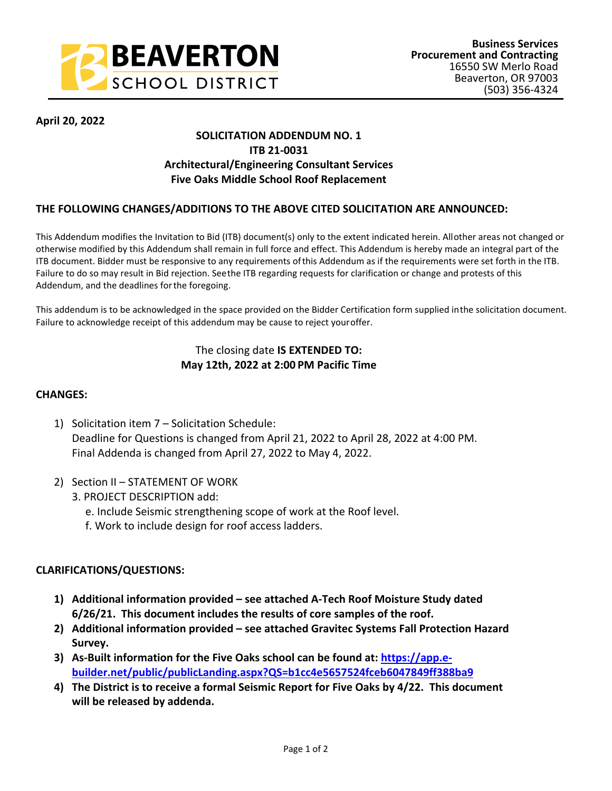

## **April 20, 2022**

# **SOLICITATION ADDENDUM NO. 1 ITB 21-0031 Architectural/Engineering Consultant Services Five Oaks Middle School Roof Replacement**

## **THE FOLLOWING CHANGES/ADDITIONS TO THE ABOVE CITED SOLICITATION ARE ANNOUNCED:**

This Addendum modifies the Invitation to Bid (ITB) document(s) only to the extent indicated herein. All other areas not changed or otherwise modified by this Addendum shall remain in full force and effect. This Addendum is hereby made an integral part of the ITB document. Bidder must be responsive to any requirements of this Addendum as if the requirements were set forth in the ITB. Failure to do so may result in Bid rejection. See the ITB regarding requests for clarification or change and protests of this Addendum, and the deadlines for the foregoing.

This addendum is to be acknowledged in the space provided on the Bidder Certification form supplied in the solicitation document. Failure to acknowledge receipt of this addendum may be cause to reject your offer.

## The closing date **IS EXTENDED TO: May 12th, 2022 at 2:00 PM Pacific Time**

### **CHANGES:**

- 1) Solicitation item 7 Solicitation Schedule: Deadline for Questions is changed from April 21, 2022 to April 28, 2022 at 4:00 PM. Final Addenda is changed from April 27, 2022 to May 4, 2022.
- 2) Section II STATEMENT OF WORK
	- 3. PROJECT DESCRIPTION add:
		- e. Include Seismic strengthening scope of work at the Roof level.
		- f. Work to include design for roof access ladders.

### **CLARIFICATIONS/QUESTIONS:**

- **1) Additional information provided see attached A-Tech Roof Moisture Study dated 6/26/21. This document includes the results of core samples of the roof.**
- **2) Additional information provided see attached Gravitec Systems Fall Protection Hazard Survey.**
- **3) As-Built information for the Five Oaks school can be found at: [https://app.e](https://app.e-builder.net/public/publicLanding.aspx?QS=b1cc4e5657524fceb6047849ff388ba9)[builder.net/public/publicLanding.aspx?QS=b1cc4e5657524fceb6047849ff388ba9](https://app.e-builder.net/public/publicLanding.aspx?QS=b1cc4e5657524fceb6047849ff388ba9)**
- **4) The District is to receive a formal Seismic Report for Five Oaks by 4/22. This document will be released by addenda.**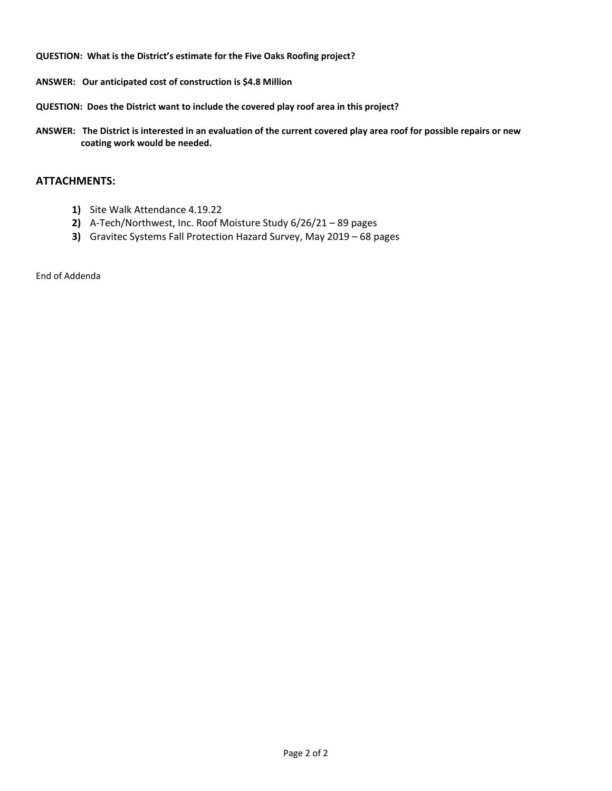**QUESTION: What is the District's estimate for the Five Oaks Roofing project?**

- **ANSWER: Our anticipated cost of construction is \$4.8 Million**
- **QUESTION: Does the District want to include the covered play roof area in this project?**
- **ANSWER: The District is interested in an evaluation of the current covered play area roof for possible repairs or new coating work would be needed.**

## **ATTACHMENTS:**

- **1)** Site Walk Attendance 4.19.22
- **2)** A-Tech/Northwest, Inc. Roof Moisture Study 6/26/21 89 pages
- **3)** Gravitec Systems Fall Protection Hazard Survey, May 2019 68 pages

End of Addenda